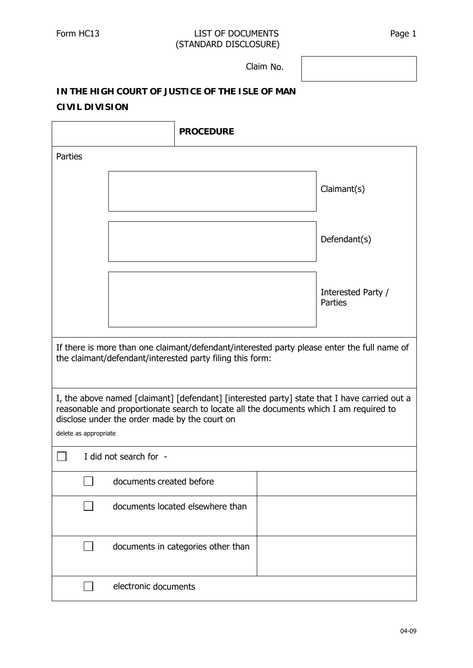## Form HC13 LIST OF DOCUMENTS Page 1 (STANDARD DISCLOSURE) (STANDARD

Claim No. Claim

## **IN THE HIGH COURT OF JUSTICE OF THE ISLE OF MAN CIVIL DIVISION**

|                                                                                                                                                                                                                                                                  | <b>PROCEDURE</b>                   |                               |  |  |  |  |  |  |
|------------------------------------------------------------------------------------------------------------------------------------------------------------------------------------------------------------------------------------------------------------------|------------------------------------|-------------------------------|--|--|--|--|--|--|
| Parties                                                                                                                                                                                                                                                          |                                    |                               |  |  |  |  |  |  |
|                                                                                                                                                                                                                                                                  |                                    | Claimant(s)                   |  |  |  |  |  |  |
|                                                                                                                                                                                                                                                                  |                                    | Defendant(s)                  |  |  |  |  |  |  |
|                                                                                                                                                                                                                                                                  |                                    | Interested Party /<br>Parties |  |  |  |  |  |  |
| If there is more than one claimant/defendant/interested party please enter the full name of<br>the claimant/defendant/interested party filing this form:                                                                                                         |                                    |                               |  |  |  |  |  |  |
| I, the above named [claimant] [defendant] [interested party] state that I have carried out a<br>reasonable and proportionate search to locate all the documents which I am required to<br>disclose under the order made by the court on<br>delete as appropriate |                                    |                               |  |  |  |  |  |  |
| I did not search for -                                                                                                                                                                                                                                           |                                    |                               |  |  |  |  |  |  |
|                                                                                                                                                                                                                                                                  | $\Box$ documents created before    |                               |  |  |  |  |  |  |
|                                                                                                                                                                                                                                                                  | documents located elsewhere than   |                               |  |  |  |  |  |  |
|                                                                                                                                                                                                                                                                  | documents in categories other than |                               |  |  |  |  |  |  |
|                                                                                                                                                                                                                                                                  | electronic documents               |                               |  |  |  |  |  |  |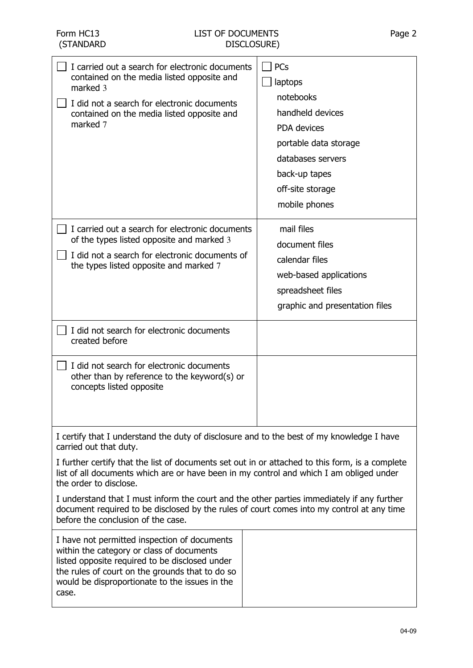| I carried out a search for electronic documents<br>contained on the media listed opposite and<br>marked 3<br>I did not a search for electronic documents<br>contained on the media listed opposite and<br>marked 7                                        | PCs<br>laptops<br>notebooks<br>handheld devices<br>PDA devices<br>portable data storage<br>databases servers<br>back-up tapes<br>off-site storage<br>mobile phones |  |  |  |  |  |
|-----------------------------------------------------------------------------------------------------------------------------------------------------------------------------------------------------------------------------------------------------------|--------------------------------------------------------------------------------------------------------------------------------------------------------------------|--|--|--|--|--|
| I carried out a search for electronic documents<br>of the types listed opposite and marked 3                                                                                                                                                              | mail files<br>document files                                                                                                                                       |  |  |  |  |  |
| I did not a search for electronic documents of<br>the types listed opposite and marked 7                                                                                                                                                                  | calendar files                                                                                                                                                     |  |  |  |  |  |
|                                                                                                                                                                                                                                                           | web-based applications                                                                                                                                             |  |  |  |  |  |
|                                                                                                                                                                                                                                                           | spreadsheet files                                                                                                                                                  |  |  |  |  |  |
|                                                                                                                                                                                                                                                           | graphic and presentation files                                                                                                                                     |  |  |  |  |  |
| I did not search for electronic documents<br>created before                                                                                                                                                                                               |                                                                                                                                                                    |  |  |  |  |  |
| I did not search for electronic documents<br>other than by reference to the keyword(s) or<br>concepts listed opposite                                                                                                                                     |                                                                                                                                                                    |  |  |  |  |  |
| I certify that I understand the duty of disclosure and to the best of my knowledge I have<br>carried out that duty.                                                                                                                                       |                                                                                                                                                                    |  |  |  |  |  |
| I further certify that the list of documents set out in or attached to this form, is a complete<br>list of all documents which are or have been in my control and which I am obliged under<br>the order to disclose.                                      |                                                                                                                                                                    |  |  |  |  |  |
| I understand that I must inform the court and the other parties immediately if any further<br>document required to be disclosed by the rules of court comes into my control at any time<br>before the conclusion of the case.                             |                                                                                                                                                                    |  |  |  |  |  |
| I have not permitted inspection of documents<br>within the category or class of documents<br>listed opposite required to be disclosed under<br>the rules of court on the grounds that to do so<br>would be disproportionate to the issues in the<br>case. |                                                                                                                                                                    |  |  |  |  |  |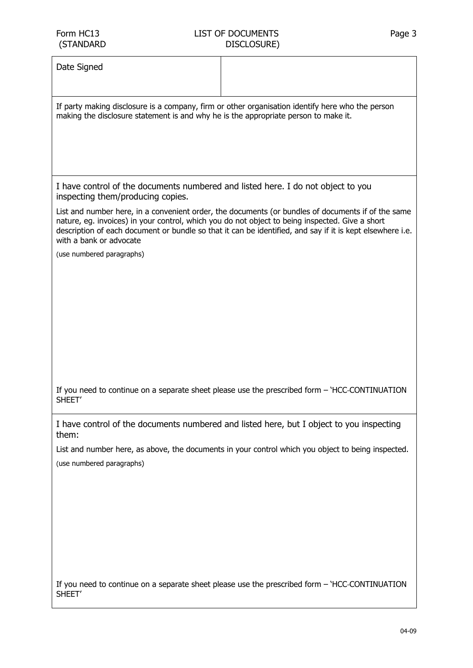Date Signed

If party making disclosure is a company, firm or other organisation identify here who the person making the disclosure statement is and why he is the appropriate person to make it.

I have control of the documents numbered and listed here. I do not object to you inspecting them/producing copies.

List and number here, in a convenient order, the documents (or bundles of documents if of the same nature, eg. invoices) in your control, which you do not object to being inspected. Give a short description of each document or bundle so that it can be identified, and say if it is kept elsewhere i.e. with a bank or advocate

(use numbered paragraphs)

If you need to continue on a separate sheet please use the prescribed form – 'HCC CONTINUATION SHEET'

I have control of the documents numbered and listed here, but I object to you inspecting them:

List and number here, as above, the documents in your control which you object to being inspected. (use numbered paragraphs)

If you need to continue on a separate sheet please use the prescribed form – 'HCC CONTINUATION SHEET'